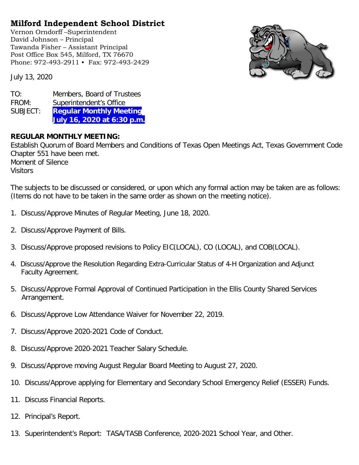## **Milford Independent School District**

Vernon Orndorff –Superintendent David Johnson – Principal Tawanda Fisher – Assistant Principal Post Office Box 545, Milford, TX 76670 Phone: 972-493-2911 • Fax: 972-493-2429

July 13, 2020

| TO:      | Members, Board of Trustees     |
|----------|--------------------------------|
| FROM:    | Superintendent's Office        |
| SUBJECT: | <b>Regular Monthly Meeting</b> |
|          | July 16, 2020 at 6:30 p.m.     |

## **REGULAR MONTHLY MEETING:**

Establish Quorum of Board Members and Conditions of Texas Open Meetings Act, Texas Government Code Chapter 551 have been met. Moment of Silence **Visitors** 

The subjects to be discussed or considered, or upon which any formal action may be taken are as follows: (Items do not have to be taken in the same order as shown on the meeting notice).

- 1. Discuss/Approve Minutes of Regular Meeting, June 18, 2020.
- 2. Discuss/Approve Payment of Bills.
- 3. Discuss/Approve proposed revisions to Policy EIC(LOCAL), CO (LOCAL), and COB(LOCAL).
- 4. Discuss/Approve the Resolution Regarding Extra-Curricular Status of 4-H Organization and Adjunct Faculty Agreement.
- 5. Discuss/Approve Formal Approval of Continued Participation in the Ellis County Shared Services Arrangement.
- 6. Discuss/Approve Low Attendance Waiver for November 22, 2019.
- 7. Discuss/Approve 2020-2021 Code of Conduct.
- 8. Discuss/Approve 2020-2021 Teacher Salary Schedule.
- 9. Discuss/Approve moving August Regular Board Meeting to August 27, 2020.
- 10. Discuss/Approve applying for Elementary and Secondary School Emergency Relief (ESSER) Funds.
- 11. Discuss Financial Reports.
- 12. Principal's Report.
- 13. Superintendent's Report: TASA/TASB Conference, 2020-2021 School Year, and Other.